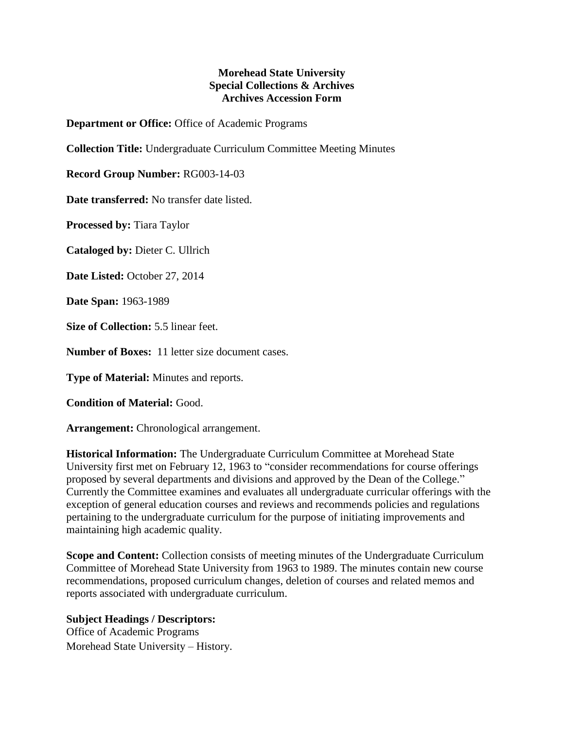## **Morehead State University Special Collections & Archives Archives Accession Form**

**Department or Office:** Office of Academic Programs

**Collection Title:** Undergraduate Curriculum Committee Meeting Minutes

**Record Group Number:** RG003-14-03

**Date transferred:** No transfer date listed.

**Processed by:** Tiara Taylor

**Cataloged by:** Dieter C. Ullrich

**Date Listed:** October 27, 2014

**Date Span:** 1963-1989

**Size of Collection:** 5.5 linear feet.

**Number of Boxes:** 11 letter size document cases.

**Type of Material:** Minutes and reports.

**Condition of Material:** Good.

**Arrangement:** Chronological arrangement.

**Historical Information:** The Undergraduate Curriculum Committee at Morehead State University first met on February 12, 1963 to "consider recommendations for course offerings proposed by several departments and divisions and approved by the Dean of the College." Currently the Committee examines and evaluates all undergraduate curricular offerings with the exception of general education courses and reviews and recommends policies and regulations pertaining to the undergraduate curriculum for the purpose of initiating improvements and maintaining high academic quality.

**Scope and Content:** Collection consists of meeting minutes of the Undergraduate Curriculum Committee of Morehead State University from 1963 to 1989. The minutes contain new course recommendations, proposed curriculum changes, deletion of courses and related memos and reports associated with undergraduate curriculum.

## **Subject Headings / Descriptors:**

Office of Academic Programs Morehead State University – History.